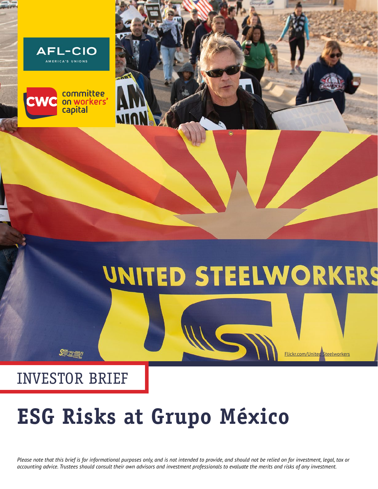



# UNITED STEELWORKERS

[Flickr.com/United Steelworkers](https://www.flickr.com/photos/unitedsteelworkers/49439811177/in/album-72157712829951087/)

### INVESTOR BRIEF

 $S_{\gamma}$  and  $S_{\gamma}$ 

## **ESG Risks at Grupo México**

*Please note that this brief is for informational purposes only, and is not intended to provide, and should not be relied on for investment, legal, tax or accounting advice. Trustees should consult their own advisors and investment professionals to evaluate the merits and risks of any investment.*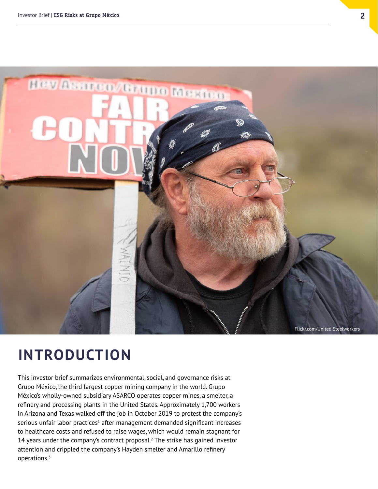

### **INTRODUCTION**

This investor brief summarizes environmental, social, and governance risks at Grupo México, the third largest copper mining company in the world. Grupo México's wholly-owned subsidiary ASARCO operates copper mines, a smelter, a refinery and processing plants in the United States. Approximately 1,700 workers in Arizona and Texas walked off the job in October 2019 to protest the company's serious unfair labor practices $^1$  after management demanded significant increases to healthcare costs and refused to raise wages, which would remain stagnant for 14 years under the company's contract proposal.<sup>2</sup> The strike has gained investor attention and crippled the company's Hayden smelter and Amarillo refinery operations.3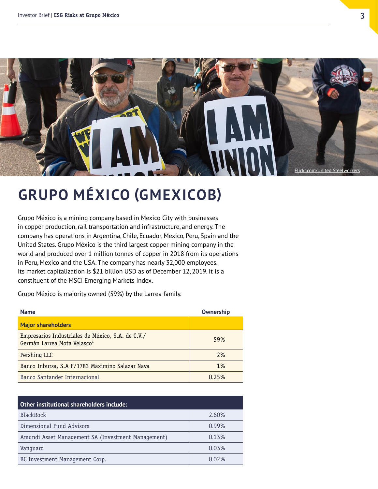

### **GRUPO MÉXICO (GMEXICOB)**

Grupo México is a mining company based in Mexico City with businesses in copper production, rail transportation and infrastructure, and energy. The company has operations in Argentina, Chile, Ecuador, Mexico, Peru, Spain and the United States. Grupo México is the third largest copper mining company in the world and produced over 1 million tonnes of copper in 2018 from its operations in Peru, Mexico and the USA. The company has nearly 32,000 employees. Its market capitalization is \$21 billion USD as of December 12, 2019. It is a constituent of the MSCI Emerging Markets Index.

Grupo México is majority owned (59%) by the Larrea family.

| <b>Name</b>                                                                      | Ownership |
|----------------------------------------------------------------------------------|-----------|
| <b>Major shareholders</b>                                                        |           |
| Empresarios Industriales de México, S.A. de C.V./<br>Germán Larrea Mota Velasco4 | 59%       |
| Pershing LLC                                                                     | 2%        |
| Banco Inbursa, S.A F/1783 Maximino Salazar Nava                                  | 1%        |
| Banco Santander Internacional                                                    | 0.25%     |

| Other institutional shareholders include:          |       |
|----------------------------------------------------|-------|
| BlackRock                                          | 2.60% |
| Dimensional Fund Advisors                          | 0.99% |
| Amundi Asset Management SA (Investment Management) | 0.13% |
| Vanguard                                           | 0.03% |
| BC Investment Management Corp.                     | 0.02% |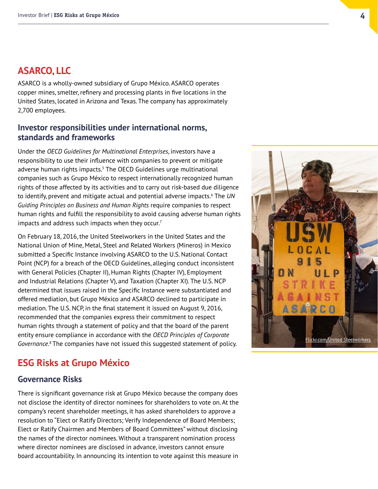#### **ASARCO, LLC**

ASARCO is a wholly-owned subsidiary of Grupo México. ASARCO operates copper mines, smelter, refinery and processing plants in five locations in the United States, located in Arizona and Texas. The company has approximately 2,700 employees.

#### **Investor responsibilities under international norms, standards and frameworks**

Under the *OECD Guidelines for Multinational Enterprises*, investors have a responsibility to use their influence with companies to prevent or mitigate adverse human rights impacts.<sup>5</sup> The OECD Guidelines urge multinational companies such as Grupo México to respect internationally recognized human rights of those affected by its activities and to carry out risk-based due diligence to identify, prevent and mitigate actual and potential adverse impacts.6 The *UN Guiding Principles on Business and Human Rights* require companies to respect human rights and fulfill the responsibility to avoid causing adverse human rights impacts and address such impacts when they occur.<sup>7</sup>

On February 18, 2016, the United Steelworkers in the United States and the National Union of Mine, Metal, Steel and Related Workers (Mineros) in Mexico submitted a Specific Instance involving ASARCO to the U.S. National Contact Point (NCP) for a breach of the OECD Guidelines, alleging conduct inconsistent with General Policies (Chapter II), Human Rights (Chapter IV), Employment and Industrial Relations (Chapter V), and Taxation (Chapter XI). The U.S. NCP determined that issues raised in the Specific Instance were substantiated and offered mediation, but Grupo México and ASARCO declined to participate in mediation. The U.S. NCP, in the final statement it issued on August 9, 2016, recommended that the companies express their commitment to respect human rights through a statement of policy and that the board of the parent entity ensure compliance in accordance with the *OECD Principles of Corporate*  Governance.<sup>8</sup> The companies have not issued this suggested statement of policy.



#### **ESG Risks at Grupo México**

#### **Governance Risks**

There is significant governance risk at Grupo México because the company does not disclose the identity of director nominees for shareholders to vote on. At the company's recent shareholder meetings, it has asked shareholders to approve a resolution to "Elect or Ratify Directors; Verify Independence of Board Members; Elect or Ratify Chairmen and Members of Board Committees" without disclosing the names of the director nominees. Without a transparent nomination process where director nominees are disclosed in advance, investors cannot ensure board accountability. In announcing its intention to vote against this measure in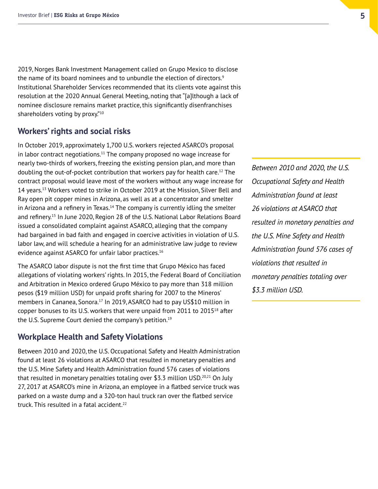2019, Norges Bank Investment Management called on Grupo Mexico to disclose the name of its board nominees and to unbundle the election of directors.<sup>9</sup> Institutional Shareholder Services recommended that its clients vote against this resolution at the 2020 Annual General Meeting, noting that "[a]lthough a lack of nominee disclosure remains market practice, this significantly disenfranchises shareholders voting by proxy."10

#### **Workers' rights and social risks**

In October 2019, approximately 1,700 U.S. workers rejected ASARCO's proposal in labor contract negotiations.<sup>11</sup> The company proposed no wage increase for nearly two-thirds of workers, freezing the existing pension plan, and more than doubling the out-of-pocket contribution that workers pay for health care.12 The contract proposal would leave most of the workers without any wage increase for 14 years.<sup>13</sup> Workers voted to strike in October 2019 at the Mission, Silver Bell and Ray open pit copper mines in Arizona, as well as at a concentrator and smelter in Arizona and a refinery in Texas.<sup>14</sup> The company is currently idling the smelter and refinery.15 In June 2020, Region 28 of the U.S. National Labor Relations Board issued a consolidated complaint against ASARCO, alleging that the company had bargained in bad faith and engaged in coercive activities in violation of U.S. labor law, and will schedule a hearing for an administrative law judge to review evidence against ASARCO for unfair labor practices.<sup>16</sup>

The ASARCO labor dispute is not the first time that Grupo México has faced allegations of violating workers' rights. In 2015, the Federal Board of Conciliation and Arbitration in Mexico ordered Grupo México to pay more than 318 million pesos (\$19 million USD) for unpaid profit sharing for 2007 to the Mineros' members in Cananea, Sonora.<sup>17</sup> In 2019, ASARCO had to pay US\$10 million in copper bonuses to its U.S. workers that were unpaid from  $2011$  to  $2015^{18}$  after the U.S. Supreme Court denied the company's petition.<sup>19</sup>

#### **Workplace Health and Safety Violations**

Between 2010 and 2020, the U.S. Occupational Safety and Health Administration found at least 26 violations at ASARCO that resulted in monetary penalties and the U.S. Mine Safety and Health Administration found 576 cases of violations that resulted in monetary penalties totaling over \$3.3 million USD.<sup>20,21</sup> On July 27, 2017 at ASARCO's mine in Arizona, an employee in a flatbed service truck was parked on a waste dump and a 320-ton haul truck ran over the flatbed service truck. This resulted in a fatal accident. $22$ 

*Between 2010 and 2020, the U.S. Occupational Safety and Health Administration found at least 26 violations at ASARCO that resulted in monetary penalties and the U.S. Mine Safety and Health Administration found 576 cases of violations that resulted in monetary penalties totaling over \$3.3 million USD.*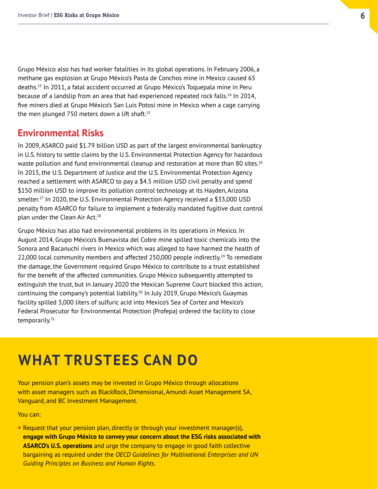Grupo México also has had worker fatalities in its global operations. In February 2006, a methane gas explosion at Grupo México's Pasta de Conchos mine in Mexico caused 65 deaths.23 In 2011, a fatal accident occurred at Grupo México's Toquepala mine in Peru because of a landslip from an area that had experienced repeated rock falls.<sup>24</sup> In 2014, five miners died at Grupo México's San Luis Potosí mine in Mexico when a cage carrying the men plunged 750 meters down a lift shaft. $25$ 

#### **Environmental Risks**

In 2009, ASARCO paid \$1.79 billion USD as part of the largest environmental bankruptcy in U.S. history to settle claims by the U.S. Environmental Protection Agency for hazardous waste pollution and fund environmental cleanup and restoration at more than 80 sites.<sup>26</sup> In 2015, the U.S. Department of Justice and the U.S. Environmental Protection Agency reached a settlement with ASARCO to pay a \$4.5 million USD civil penalty and spend \$150 million USD to improve its pollution control technology at its Hayden, Arizona smelter.<sup>27</sup> In 2020, the U.S. Environmental Protection Agency received a \$33,000 USD penalty from ASARCO for failure to implement a federally mandated fugitive dust control plan under the Clean Air Act.<sup>28</sup>

Grupo México has also had environmental problems in its operations in Mexico. In August 2014, Grupo México's Buenavista del Cobre mine spilled toxic chemicals into the Sonora and Bacanuchi rivers in Mexico which was alleged to have harmed the health of 22,000 local community members and affected 250,000 people indirectly.<sup>29</sup> To remediate the damage, the Government required Grupo México to contribute to a trust established for the benefit of the affected communities. Grupo México subsequently attempted to extinguish the trust, but in January 2020 the Mexican Supreme Court blocked this action, continuing the company's potential liability.<sup>30</sup> In July 2019, Grupo México's Guaymas facility spilled 3,000 liters of sulfuric acid into Mexico's Sea of Cortez and Mexico's Federal Prosecutor for Environmental Protection (Profepa) ordered the facility to close temporarily. $31$ 

### **WHAT TRUSTEES CAN DO**

Your pension plan's assets may be invested in Grupo México through allocations with asset managers such as BlackRock, Dimensional, Amundi Asset Management SA, Vanguard, and BC Investment Management.

You can:

**•** Request that your pension plan, directly or through your investment manager(s), **engage with Grupo México to convey your concern about the ESG risks associated with ASARCO's U.S. operations** and urge the company to engage in good faith collective bargaining as required under the *OECD Guidelines for Multinational Enterprises and UN Guiding Principles on Business and Human Rights*.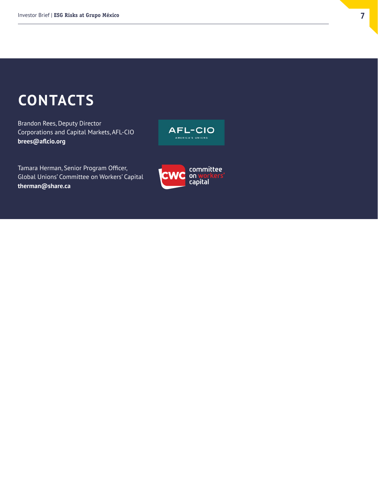### **CONTACTS**

Brandon Rees, Deputy Director Corporations and Capital Markets, AFL-CIO **[brees@aflcio.org](mailto:brees@aflcio.org)**



Tamara Herman, Senior Program Officer, Global Unions' Committee on Workers' Capital **[therman@share.ca](mailto:therman@share.ca)**

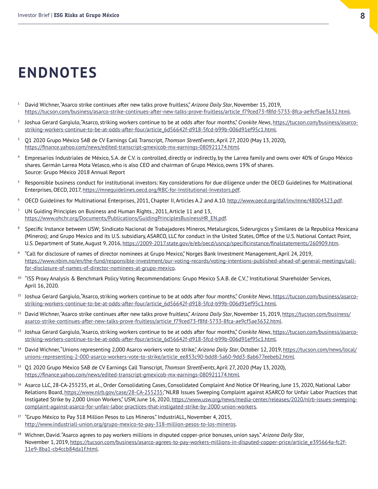### **ENDNOTES**

- <sup>1</sup> David Wichner, "Asarco strike continues after new talks prove fruitless," *Arizona Daily Star*, November 15, 2019, [https://tucson.com/business/asarco-strike-continues-after-new-talks-prove-fruitless/article\\_f79ced73-f8fd-5733-8fca-ae9cf5ae3632.html](https://tucson.com/business/asarco-strike-continues-after-new-talks-prove-fruitless/article_f79ced73-f8fd-5733-8fca-ae9cf5ae3632.html).
- <sup>2</sup> Joshua Gerard Gargiulo, "Asarco, striking workers continue to be at odds after four months," Cronkite News, [https://tucson.com/business/asarco](https://tucson.com/business/asarco-striking-workers-continue-to-be-at-odds-after-four/article_6d56642f-d918-5fcd-b99b-006d91ef95c1.html)[striking-workers-continue-to-be-at-odds-after-four/article\\_6d56642f-d918-5fcd-b99b-006d91ef95c1.html](https://tucson.com/business/asarco-striking-workers-continue-to-be-at-odds-after-four/article_6d56642f-d918-5fcd-b99b-006d91ef95c1.html).
- <sup>3</sup> Q1 2020 Grupo México SAB de CV Earnings Call Transcript, *Thomson StreetEvents*, April 27, 2020 (May 13, 2020), <https://finance.yahoo.com/news/edited-transcript-gmexicob-mx-earnings-080921174.html>.
- <sup>4</sup> Empresarios Industriales de México, S.A. de C.V. is controlled, directly or indirectly, by the Larrea family and owns over 40% of Grupo México shares. Germán Larrea Mota Velasco, who is also CEO and chairman of Grupo México, owns 19% of shares. Source: Grupo México 2018 Annual Report
- <sup>5</sup> Responsible business conduct for institutional investors: Key considerations for due diligence under the OECD Guidelines for Multinational Enterprises, OECD, 2017, <https://mneguidelines.oecd.org/RBC-for-Institutional-Investors.pdf>.
- <sup>6</sup> OECD Guidelines for Multinational Enterprises, 2011, Chapter II, Articles A.2 and A.10.<http://www.oecd.org/daf/inv/mne/48004323.pdf>.
- <sup>7</sup> UN Guiding Principles on Business and Human Rights., 2011, Article 11 and 13, [https://www.ohchr.org/Documents/Publications/GuidingPrinciplesBusinessHR\\_EN.pdf](https://www.ohchr.org/Documents/Publications/GuidingPrinciplesBusinessHR_EN.pdf).
- <sup>8</sup> Specific Instance between USW; Sindicato Nacional de Trabajadores Mineros, Metalurgicos, Siderurgicos y Similares de la Republica Mexicana (Mineros); and Grupo Mexico and its U.S. subsidiary, ASARCO, LLC for conduct in the United States, Office of the U.S. National Contact Point, U.S. Department of State, August 9, 2016,<https://2009-2017.state.gov/e/eb/oecd/usncp/specificinstance/finalstatements/260909.htm>.
- <sup>9</sup> "Call for disclosure of names of director nominees at Grupo Mexico," Norges Bank Investment Management, April 24, 2019, [https://www.nbim.no/en/the-fund/responsible-investment/our-voting-records/voting-intentions-published-ahead-of-general-meetings/call](https://www.nbim.no/en/the-fund/responsible-investment/our-voting-records/voting-intentions-published-ahead-of-general-meetings/call-for-disclosure-of-names-of-director-nominees-at-grupo-mexico)[for-disclosure-of-names-of-director-nominees-at-grupo-mexico](https://www.nbim.no/en/the-fund/responsible-investment/our-voting-records/voting-intentions-published-ahead-of-general-meetings/call-for-disclosure-of-names-of-director-nominees-at-grupo-mexico).
- <sup>10</sup> "ISS Proxy Analysis & Benchmark Policy Voting Recommendations: Grupo Mexico S.A.B. de C.V.", Institutional Shareholder Services, April 16, 2020.
- <sup>11</sup> Joshua Gerard Gargiulo, "Asarco, striking workers continue to be at odds after four months," *Cronkite News*, [https://tucson.com/business/asarco](https://tucson.com/business/asarco-striking-workers-continue-to-be-at-odds-after-four/article_6d56642f-d918-5fcd-b99b-006d91ef95c1.html)[striking-workers-continue-to-be-at-odds-after-four/article\\_6d56642f-d918-5fcd-b99b-006d91ef95c1.html](https://tucson.com/business/asarco-striking-workers-continue-to-be-at-odds-after-four/article_6d56642f-d918-5fcd-b99b-006d91ef95c1.html).
- <sup>12</sup> David Wichner, "Asarco strike continues after new talks prove fruitless," Arizona Daily Star, November 15, 2019, [https://tucson.com/business/](https://tucson.com/business/asarco-strike-continues-after-new-talks-prove-fruitless/article_f79ced73-f8fd-5733-8fca-ae9cf5ae3632.html) [asarco-strike-continues-after-new-talks-prove-fruitless/article\\_f79ced73-f8fd-5733-8fca-ae9cf5ae3632.html](https://tucson.com/business/asarco-strike-continues-after-new-talks-prove-fruitless/article_f79ced73-f8fd-5733-8fca-ae9cf5ae3632.html).
- <sup>13</sup> Joshua Gerard Gargiulo, "Asarco, striking workers continue to be at odds after four months," Cronkite News, [https://tucson.com/business/asarco](https://tucson.com/business/asarco-striking-workers-continue-to-be-at-odds-after-four/article_6d56642f-d918-5fcd-b99b-006d91ef95c1.html)[striking-workers-continue-to-be-at-odds-after-four/article\\_6d56642f-d918-5fcd-b99b-006d91ef95c1.html](https://tucson.com/business/asarco-striking-workers-continue-to-be-at-odds-after-four/article_6d56642f-d918-5fcd-b99b-006d91ef95c1.html).
- <sup>14</sup> David Wichner, "Unions representing 2,000 Asarco workers vote to strike," *Arizona Daily Star*, October 12, 2019, [https://tucson.com/news/local/](https://tucson.com/news/local/unions-representing-2-000-asarco-workers-vote-to-strike/article_ee853c90-bdd8-5a60-9dd3-8ab677eebeb2.html) [unions-representing-2-000-asarco-workers-vote-to-strike/article\\_ee853c90-bdd8-5a60-9dd3-8ab677eebeb2.html](https://tucson.com/news/local/unions-representing-2-000-asarco-workers-vote-to-strike/article_ee853c90-bdd8-5a60-9dd3-8ab677eebeb2.html).
- <sup>15</sup> Q1 2020 Grupo México SAB de CV Earnings Call Transcript, *Thomson StreetEvents*, April 27, 2020 (May 13, 2020), <https://finance.yahoo.com/news/edited-transcript-gmexicob-mx-earnings-080921174.html>.
- <sup>16</sup> Asarco LLC, 28-CA-255235, et al., Order Consolidating Cases, Consolidated Complaint And Notice Of Hearing, June 15, 2020, National Labor Relations Board, [https://www.nlrb.gov/case/28-CA-255235;](https://www.nlrb.gov/case/28-CA-255235) "NLRB Issues Sweeping Complaint against ASARCO for Unfair Labor Practices that Instigated Strike by 2,000 Union Workers," USW, June 16, 2020, [https://www.usw.org/news/media-center/releases/2020/nlrb-issues-sweeping](https://www.usw.org/news/media-center/releases/2020/nlrb-issues-sweeping-complaint-against-asarco-for-unfair-labor-practices-that-instigated-strike-by-2000-union-workers)[complaint-against-asarco-for-unfair-labor-practices-that-instigated-strike-by-2000-union-workers](https://www.usw.org/news/media-center/releases/2020/nlrb-issues-sweeping-complaint-against-asarco-for-unfair-labor-practices-that-instigated-strike-by-2000-union-workers).
- <sup>17</sup> "Grupo México to Pay 318 Million Pesos to Los Mineros." IndustriALL, November 4, 2015, <http://www.industriall-union.org/grupo-mexico-to-pay-318-million-pesos-to-los-mineros>.
- <sup>18</sup> Wichner, David. "Asarco agrees to pay workers millions in disputed copper-price bonuses, union says." *Arizona Daily Star*, November 1, 2019, [https://tucson.com/business/asarco-agrees-to-pay-workers-millions-in-disputed-copper-price/article\\_e395664a-fc2f-](https://tucson.com/business/asarco-agrees-to-pay-workers-millions-in-disputed-copper-price/article_e395664a-fc2f-11e9-8ba1-cb4ccb84da1f.html)[11e9-8ba1-cb4ccb84da1f.html](https://tucson.com/business/asarco-agrees-to-pay-workers-millions-in-disputed-copper-price/article_e395664a-fc2f-11e9-8ba1-cb4ccb84da1f.html).